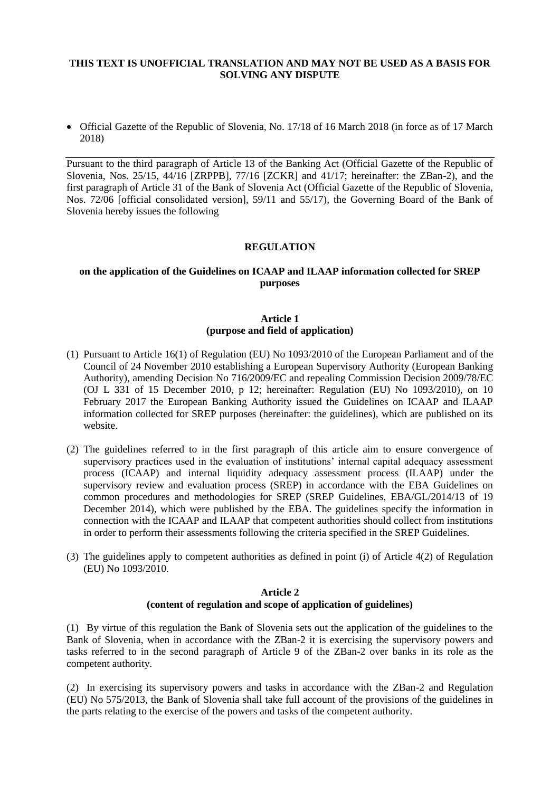#### **THIS TEXT IS UNOFFICIAL TRANSLATION AND MAY NOT BE USED AS A BASIS FOR SOLVING ANY DISPUTE**

 Official Gazette of the Republic of Slovenia, No. 17/18 of 16 March 2018 (in force as of 17 March 2018)

Pursuant to the third paragraph of Article 13 of the Banking Act (Official Gazette of the Republic of Slovenia, Nos. 25/15, 44/16 [ZRPPB], 77/16 [ZCKR] and 41/17; hereinafter: the ZBan-2), and the first paragraph of Article 31 of the Bank of Slovenia Act (Official Gazette of the Republic of Slovenia, Nos. 72/06 [official consolidated version], 59/11 and 55/17), the Governing Board of the Bank of Slovenia hereby issues the following

### **REGULATION**

### **on the application of the Guidelines on ICAAP and ILAAP information collected for SREP purposes**

# **Article 1 (purpose and field of application)**

- (1) Pursuant to Article 16(1) of Regulation (EU) No 1093/2010 of the European Parliament and of the Council of 24 November 2010 establishing a European Supervisory Authority (European Banking Authority), amending Decision No 716/2009/EC and repealing Commission Decision 2009/78/EC (OJ L 331 of 15 December 2010, p 12; hereinafter: Regulation (EU) No 1093/2010), on 10 February 2017 the European Banking Authority issued the Guidelines on ICAAP and ILAAP information collected for SREP purposes (hereinafter: the guidelines), which are published on its website.
- (2) The guidelines referred to in the first paragraph of this article aim to ensure convergence of supervisory practices used in the evaluation of institutions' internal capital adequacy assessment process (ICAAP) and internal liquidity adequacy assessment process (ILAAP) under the supervisory review and evaluation process (SREP) in accordance with the EBA Guidelines on common procedures and methodologies for SREP (SREP Guidelines, EBA/GL/2014/13 of 19 December 2014), which were published by the EBA. The guidelines specify the information in connection with the ICAAP and ILAAP that competent authorities should collect from institutions in order to perform their assessments following the criteria specified in the SREP Guidelines.
- (3) The guidelines apply to competent authorities as defined in point (i) of Article 4(2) of Regulation (EU) No 1093/2010.

## **Article 2 (content of regulation and scope of application of guidelines)**

(1) By virtue of this regulation the Bank of Slovenia sets out the application of the guidelines to the Bank of Slovenia, when in accordance with the ZBan-2 it is exercising the supervisory powers and tasks referred to in the second paragraph of Article 9 of the ZBan-2 over banks in its role as the competent authority.

(2) In exercising its supervisory powers and tasks in accordance with the ZBan-2 and Regulation (EU) No 575/2013, the Bank of Slovenia shall take full account of the provisions of the guidelines in the parts relating to the exercise of the powers and tasks of the competent authority.